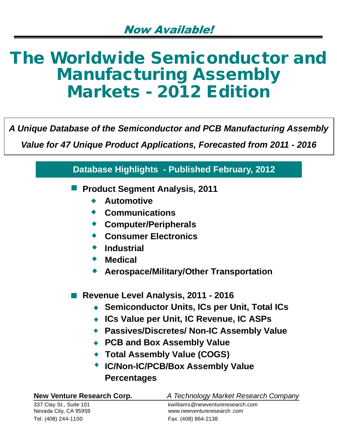# **The Worldwide Semiconductor and Manufacturing Assembly Markets - 2012 Edition**

*A Unique Database of the Semiconductor and PCB Manufacturing Assembly*

*Value for 47 Unique Product Applications, Forecasted from 2011 - 2016*

|                                                                                                                                                                                          | <b>Database Highlights - Published February, 2012</b>                                                                                                                                                                                                                                            |
|------------------------------------------------------------------------------------------------------------------------------------------------------------------------------------------|--------------------------------------------------------------------------------------------------------------------------------------------------------------------------------------------------------------------------------------------------------------------------------------------------|
| <b>Product Segment Analysis, 2011</b><br><b>Automotive</b><br><b>Communications</b><br><b>Computer/Peripherals</b><br><b>Consumer Electronics</b><br><b>Industrial</b><br><b>Medical</b> | <b>Aerospace/Military/Other Transportation</b>                                                                                                                                                                                                                                                   |
| <b>Percentages</b>                                                                                                                                                                       | Revenue Level Analysis, 2011 - 2016<br>◆ Semiconductor Units, ICs per Unit, Total ICs<br>ICs Value per Unit, IC Revenue, IC ASPs<br><b>Passives/Discretes/ Non-IC Assembly Value</b><br><b>PCB and Box Assembly Value</b><br>◆ Total Assembly Value (COGS)<br>◆ IC/Non-IC/PCB/Box Assembly Value |
| <b>New Venture Research Corp.</b><br>337 Clay St., Suite 101                                                                                                                             | A Technology Market Research Company<br>kwilliams@newventureresearch.com                                                                                                                                                                                                                         |

Nevada City, CA 95959 www.newventureresearch .com Tel: (408) 244-1100 Fax: (408) 864-2138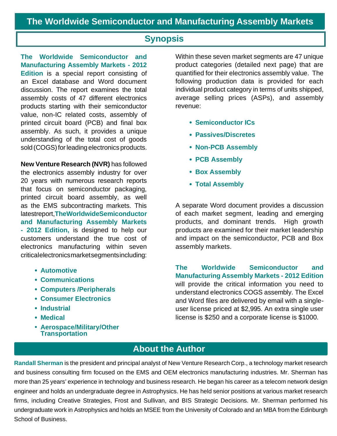### **Synopsis**

**The Worldwide Semiconductor and Manufacturing Assembly Markets - 2012 Edition** is a special report consisting of an Excel database and Word document discussion. The report examines the total assembly costs of 47 different electronics products starting with their semiconductor value, non-IC related costs, assembly of printed circuit board (PCB) and final box assembly. As such, it provides a unique understanding of the total cost of goods sold (COGS) for leading electronics products.

**New Venture Research (NVR)** has followed the electronics assembly industry for over 20 years with numerous research reports that focus on semiconductor packaging, printed circuit board assembly, as well as the EMS subcontracting markets. This latest report, **The Worldwide Semiconductor and Manufacturing Assembly Markets - 2012 Edition,** is designed to help our customers understand the true cost of electronics manufacturing within seven critical electronics market segments including:

- **Automotive**
- **Communications**
- **Computers /Peripherals**
- **Consumer Electronics**
- **Industrial**
- **Medical**
- **Aerospace/Military/Other Transportation**

Within these seven market segments are 47 unique product categories (detailed next page) that are quantified for their electronics assembly value. The following production data is provided for each individual product category in terms of units shipped, average selling prices (ASPs), and assembly revenue:

- **Semiconductor ICs**
- **Passives/Discretes**
- **Non-PCB Assembly**
- **PCB Assembly**
- **Box Assembly**
- **Total Assembly**

A separate Word document provides a discussion of each market segment, leading and emerging products, and dominant trends. High growth products are examined for their market leadership and impact on the semiconductor, PCB and Box assembly markets.

**The Worldwide Semiconductor and Manufacturing Assembly Markets - 2012 Edition**  will provide the critical information you need to understand electronics COGS assembly. The Excel and Word files are delivered by email with a singleuser license priced at \$2,995. An extra single user license is \$250 and a corporate license is \$1000.

# **About the Author**

**Randall Sherman** is the president and principal analyst of New Venture Research Corp., a technology market research and business consulting firm focused on the EMS and OEM electronics manufacturing industries. Mr. Sherman has more than 25 years' experience in technology and business research. He began his career as a telecom network design engineer and holds an undergraduate degree in Astrophysics. He has held senior positions at various market research firms, including Creative Strategies, Frost and Sullivan, and BIS Strategic Decisions. Mr. Sherman performed his undergraduate work in Astrophysics and holds an MSEE from the University of Colorado and an MBA from the Edinburgh School of Business.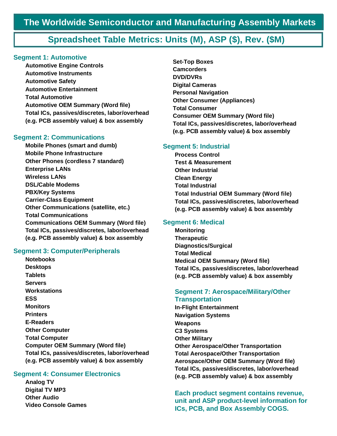# **Spreadsheet Table Metrics: Units (M), ASP (\$), Rev. (\$M)**

#### **Segment 1: Automotive**

**Automotive Engine Controls Automotive Instruments Automotive Safety Automotive Entertainment Total Automotive Automotive OEM Summary (Word file) Total ICs, passives/discretes, labor/overhead (e.g. PCB assembly value) & box assembly**

#### **Segment 2: Communications**

**Mobile Phones (smart and dumb) Mobile Phone Infrastructure Other Phones (cordless 7 standard) Enterprise LANs Wireless LANs DSL/Cable Modems PBX/Key Systems Carrier-Class Equipment Other Communications (satellite, etc.) Total Communications Communications OEM Summary (Word file) Total ICs, passives/discretes, labor/overhead (e.g. PCB assembly value) & box assembly**

#### **Segment 3: Computer/Peripherals**

**Notebooks Desktops Tablets Servers Workstations ESS Monitors Printers E-Readers Other Computer Total Computer Computer OEM Summary (Word file) Total ICs, passives/discretes, labor/overhead (e.g. PCB assembly value) & box assembly**

#### **Segment 4: Consumer Electronics**

**Analog TV Digital TV MP3 Other Audio Video Console Games** **Set-Top Boxes Camcorders DVD/DVRs Digital Cameras Personal Navigation Other Consumer (Appliances) Total Consumer Consumer OEM Summary (Word file) Total ICs, passives/discretes, labor/overhead (e.g. PCB assembly value) & box assembly**

#### **Segment 5: Industrial**

**Process Control Test & Measurement Other Industrial Clean Energy Total Industrial Total Industrial OEM Summary (Word file) Total ICs, passives/discretes, labor/overhead (e.g. PCB assembly value) & box assembly**

#### **Segment 6: Medical**

**Monitoring Therapeutic Diagnostics/Surgical Total Medical Medical OEM Summary (Word file) Total ICs, passives/discretes, labor/overhead (e.g. PCB assembly value) & box assembly**

#### **Segment 7: Aerospace/Military/Other Transportation**

**In-Flight Entertainment Navigation Systems Weapons C3 Systems Other Military Other Aerospace/Other Transportation Total Aerospace/Other Transportation Aerospace/Other OEM Summary (Word file) Total ICs, passives/discretes, labor/overhead (e.g. PCB assembly value) & box assembly**

**Each product segment contains revenue, unit and ASP product-level information for ICs, PCB, and Box Assembly COGS.**